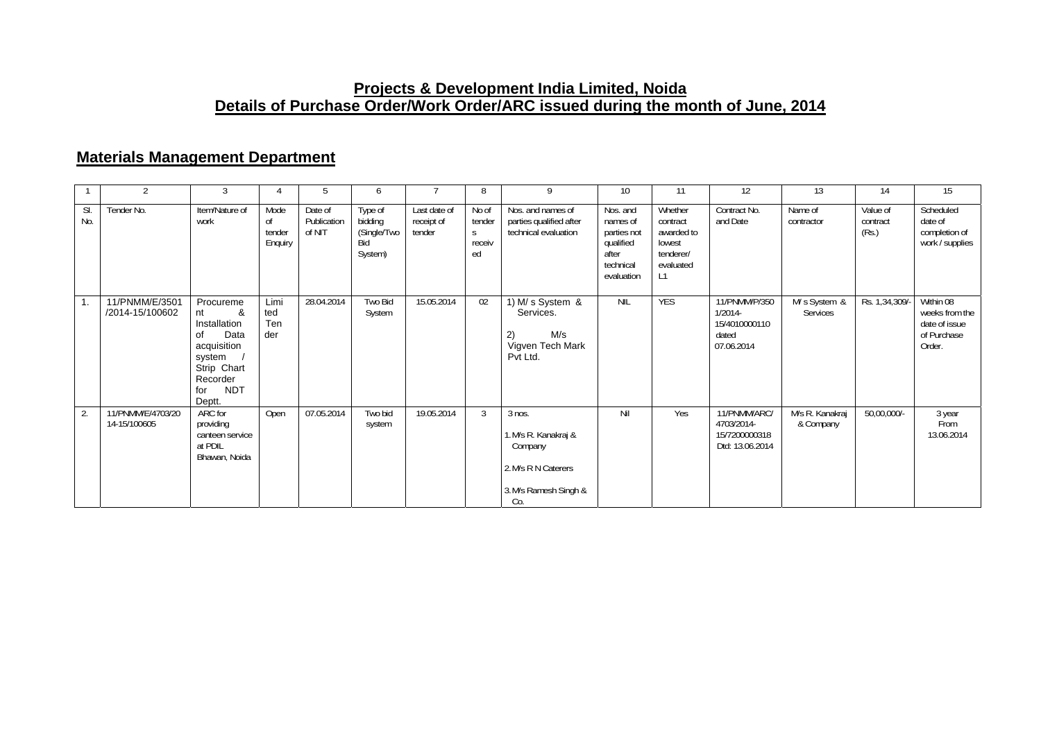### **Projects & Development India Limited, Noida Details of Purchase Order/Work Order/ARC issued during the month of June, 2014**

### **Materials Management Department**

|            | $\overline{2}$                    | 3                                                                                                                                     |                                 | 5                                | 6                                                   |                                      | 8                                    | 9                                                                                                  | 10                                                                                   | 11                                                                          | 12                                                                  | 13                           | 14                            | 15                                                                    |
|------------|-----------------------------------|---------------------------------------------------------------------------------------------------------------------------------------|---------------------------------|----------------------------------|-----------------------------------------------------|--------------------------------------|--------------------------------------|----------------------------------------------------------------------------------------------------|--------------------------------------------------------------------------------------|-----------------------------------------------------------------------------|---------------------------------------------------------------------|------------------------------|-------------------------------|-----------------------------------------------------------------------|
| SI.<br>No. | Tender No.                        | Item/Nature of<br>work                                                                                                                | Mode<br>0f<br>tender<br>Enquiry | Date of<br>Publication<br>of NIT | Type of<br>bidding<br>(Single/Two<br>Bid<br>System) | Last date of<br>receipt of<br>tender | No of<br>tender<br>S<br>receiv<br>ed | Nos. and names of<br>parties qualified after<br>technical evaluation                               | Nos. and<br>names of<br>parties not<br>qualified<br>after<br>technical<br>evaluation | Whether<br>contract<br>awarded to<br>lowest<br>tenderer/<br>evaluated<br>L1 | Contract No.<br>and Date                                            | Name of<br>contractor        | Value of<br>contract<br>(Rs.) | Scheduled<br>date of<br>completion of<br>work / supplies              |
| 1.         | 11/PNMM/E/3501<br>/2014-15/100602 | Procureme<br>&<br>nt<br>Installation<br>Data<br>οf<br>acquisition<br>system<br>Strip Chart<br>Recorder<br><b>NDT</b><br>for<br>Deptt. | Limi<br>ted<br>Ten<br>der       | 28.04.2014                       | Two Bid<br>System                                   | 15.05.2014                           | 02                                   | 1) M/ s System &<br>Services.<br>M/s<br>2)<br>Vigven Tech Mark<br>Pvt Ltd.                         | <b>NIL</b>                                                                           | <b>YES</b>                                                                  | 11/PNMM/P/350<br>$1/2014 -$<br>15/4010000110<br>dated<br>07.06.2014 | M/s System &<br>Services     | Rs. 1,34,309/-                | Within 08<br>weeks from the<br>date of issue<br>of Purchase<br>Order. |
| 2.         | 11/PNMM/E/4703/20<br>14-15/100605 | ARC for<br>providing<br>canteen service<br>at PDIL<br>Bhawan, Noida                                                                   | Open                            | 07.05.2014                       | Two bid<br>system                                   | 19.05.2014                           | 3                                    | $3$ nos.<br>1. M/s R. Kanakraj &<br>Company<br>2. M/s R N Caterers<br>3. M/s Ramesh Singh &<br>Co. | Nil                                                                                  | Yes                                                                         | 11/PNMM/ARC/<br>4703/2014-<br>15/7200000318<br>Dtd: 13.06.2014      | M/s R. Kanakraj<br>& Company | 50,00,000/-                   | 3 year<br>From<br>13.06.2014                                          |